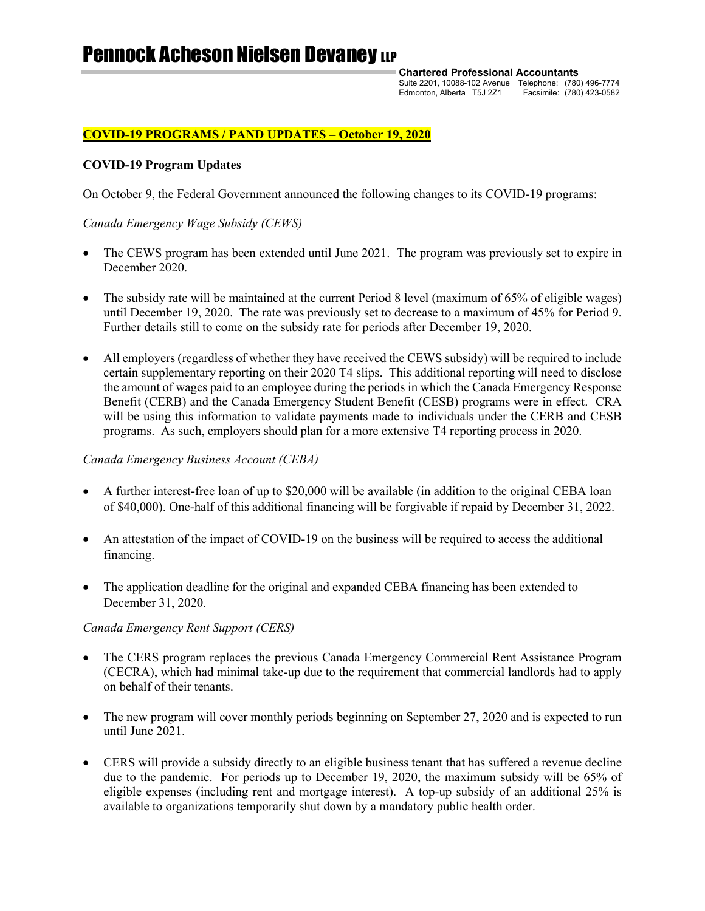# Pennock Acheson Nielsen Devaney LLP

**Chartered Professional Accountants**

Suite 2201, 10088-102 Avenue Telephone: (780) 496-7774 Edmonton, Alberta T5J 2Z1 Facsimile: (780) 423-0582

# **COVID-19 PROGRAMS / PAND UPDATES – October 19, 2020**

## **COVID-19 Program Updates**

On October 9, the Federal Government announced the following changes to its COVID-19 programs:

## *Canada Emergency Wage Subsidy (CEWS)*

- The CEWS program has been extended until June 2021. The program was previously set to expire in December 2020.
- The subsidy rate will be maintained at the current Period 8 level (maximum of 65% of eligible wages) until December 19, 2020. The rate was previously set to decrease to a maximum of 45% for Period 9. Further details still to come on the subsidy rate for periods after December 19, 2020.
- All employers (regardless of whether they have received the CEWS subsidy) will be required to include certain supplementary reporting on their 2020 T4 slips. This additional reporting will need to disclose the amount of wages paid to an employee during the periods in which the Canada Emergency Response Benefit (CERB) and the Canada Emergency Student Benefit (CESB) programs were in effect. CRA will be using this information to validate payments made to individuals under the CERB and CESB programs. As such, employers should plan for a more extensive T4 reporting process in 2020.

### *Canada Emergency Business Account (CEBA)*

- A further interest-free loan of up to \$20,000 will be available (in addition to the original CEBA loan of \$40,000). One-half of this additional financing will be forgivable if repaid by December 31, 2022.
- An attestation of the impact of COVID-19 on the business will be required to access the additional financing.
- The application deadline for the original and expanded CEBA financing has been extended to December 31, 2020.

### *Canada Emergency Rent Support (CERS)*

- The CERS program replaces the previous Canada Emergency Commercial Rent Assistance Program (CECRA), which had minimal take-up due to the requirement that commercial landlords had to apply on behalf of their tenants.
- The new program will cover monthly periods beginning on September 27, 2020 and is expected to run until June 2021.
- CERS will provide a subsidy directly to an eligible business tenant that has suffered a revenue decline due to the pandemic. For periods up to December 19, 2020, the maximum subsidy will be 65% of eligible expenses (including rent and mortgage interest). A top-up subsidy of an additional 25% is available to organizations temporarily shut down by a mandatory public health order.